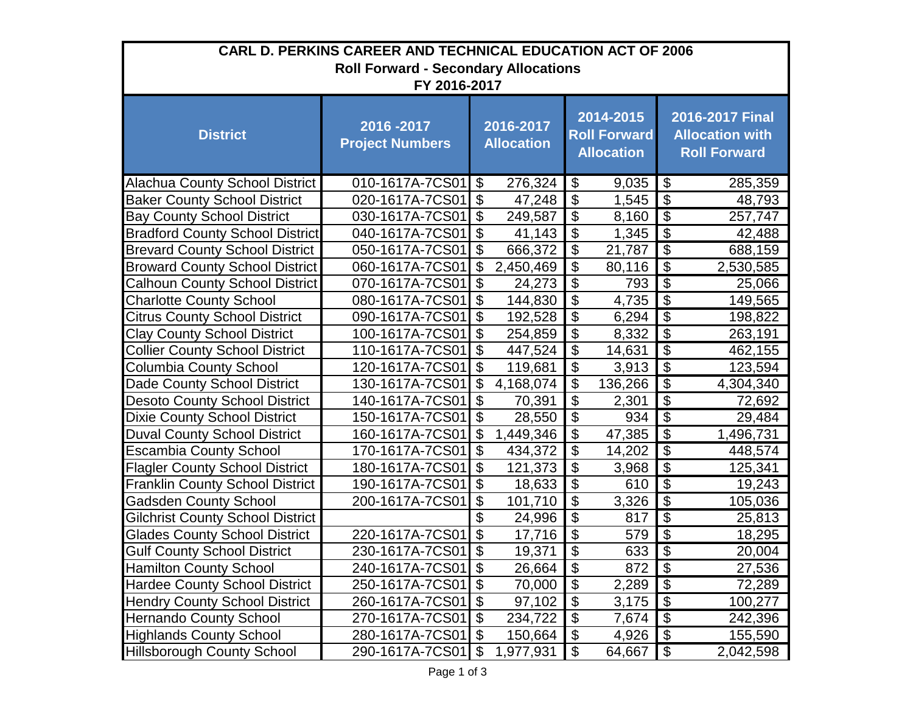| CARL D. PERKINS CAREER AND TECHNICAL EDUCATION ACT OF 2006 |                                     |                                |           |                                                       |            |                                                                  |           |
|------------------------------------------------------------|-------------------------------------|--------------------------------|-----------|-------------------------------------------------------|------------|------------------------------------------------------------------|-----------|
| <b>Roll Forward - Secondary Allocations</b>                |                                     |                                |           |                                                       |            |                                                                  |           |
| FY 2016-2017                                               |                                     |                                |           |                                                       |            |                                                                  |           |
| <b>District</b>                                            | 2016-2017<br><b>Project Numbers</b> | 2016-2017<br><b>Allocation</b> |           | 2014-2015<br><b>Roll Forward</b><br><b>Allocation</b> |            | 2016-2017 Final<br><b>Allocation with</b><br><b>Roll Forward</b> |           |
| <b>Alachua County School District</b>                      | 010-1617A-7CS01 \$                  |                                | 276,324   | \$                                                    | $9,035$ \$ |                                                                  | 285,359   |
| <b>Baker County School District</b>                        | 020-1617A-7CS01                     | $\overline{\mathbf{e}}$        | 47,248    | $\boldsymbol{\mathsf{S}}$                             | 1,545      | $\overline{\$}$                                                  | 48,793    |
| <b>Bay County School District</b>                          | 030-1617A-7CS01                     | \$                             | 249,587   | $\boldsymbol{\mathsf{S}}$                             | 8,160      | $\overline{\mathbf{S}}$                                          | 257,747   |
| <b>Bradford County School District</b>                     | 040-1617A-7CS01                     | \$                             | 41,143    | $\overline{\mathbf{G}}$                               | 1,345      | $\overline{\$}$                                                  | 42,488    |
| <b>Brevard County School District</b>                      | 050-1617A-7CS01                     | $\mathfrak{S}$                 | 666,372   | $\boldsymbol{\mathsf{S}}$                             | 21,787     | $\overline{\mathcal{S}}$                                         | 688,159   |
| <b>Broward County School District</b>                      | 060-1617A-7CS01                     | \$                             | 2,450,469 | $\boldsymbol{\mathsf{S}}$                             | 80,116     | $\overline{\mathcal{E}}$                                         | 2,530,585 |
| <b>Calhoun County School District</b>                      | 070-1617A-7CS01                     | \$                             | 24,273    | $\overline{\$}$                                       | 793        | $\overline{\mathbf{S}}$                                          | 25,066    |
| <b>Charlotte County School</b>                             | 080-1617A-7CS01                     | $\boldsymbol{\mathsf{S}}$      | 144,830   | $\boldsymbol{\mathsf{S}}$                             | 4,735      | $\overline{\mathcal{S}}$                                         | 149,565   |
| <b>Citrus County School District</b>                       | 090-1617A-7CS01                     | \$                             | 192,528   | $\boldsymbol{\mathsf{S}}$                             | 6,294      | $\overline{\mathcal{L}}$                                         | 198,822   |
| <b>Clay County School District</b>                         | 100-1617A-7CS01                     | \$                             | 254,859   | $\boldsymbol{\mathsf{S}}$                             | 8,332      | $\overline{\mathbf{G}}$                                          | 263,191   |
| <b>Collier County School District</b>                      | 110-1617A-7CS01                     | \$                             | 447,524   | $\overline{\mathcal{S}}$                              | 14,631     | $\overline{\mathcal{L}}$                                         | 462,155   |
| <b>Columbia County School</b>                              | 120-1617A-7CS01                     | $\boldsymbol{\mathsf{S}}$      | 119,681   | $\boldsymbol{\mathsf{S}}$                             | 3,913      | $\overline{\mathbf{G}}$                                          | 123,594   |
| Dade County School District                                | 130-1617A-7CS01                     | \$                             | 4,168,074 | $\boldsymbol{\mathsf{S}}$                             | 136,266    | $\overline{\mathbf{S}}$                                          | 4,304,340 |
| <b>Desoto County School District</b>                       | 140-1617A-7CS01                     | \$                             | 70,391    | $\boldsymbol{\mathsf{S}}$                             | 2,301      | $\overline{\mathcal{L}}$                                         | 72,692    |
| <b>Dixie County School District</b>                        | 150-1617A-7CS01                     | $\boldsymbol{\mathsf{\$}}$     | 28,550    | $\boldsymbol{\mathsf{S}}$                             | 934        | $\overline{\mathbf{S}}$                                          | 29,484    |
| <b>Duval County School District</b>                        | 160-1617A-7CS01                     | \$                             | 1,449,346 | $\boldsymbol{\mathsf{S}}$                             | 47,385     | $\overline{\mathcal{L}}$                                         | 1,496,731 |
| <b>Escambia County School</b>                              | 170-1617A-7CS01                     | \$                             | 434,372   | $\boldsymbol{\mathsf{S}}$                             | 14,202     | $\overline{\mathcal{S}}$                                         | 448,574   |
| <b>Flagler County School District</b>                      | 180-1617A-7CS01                     | $\overline{\mathbf{e}}$        | 121,373   | $\overline{\mathcal{S}}$                              | 3,968      | $\overline{\mathcal{E}}$                                         | 125,341   |
| <b>Franklin County School District</b>                     | 190-1617A-7CS01                     | \$                             | 18,633    | $\boldsymbol{\mathsf{S}}$                             | 610        | $\overline{\mathcal{S}}$                                         | 19,243    |
| <b>Gadsden County School</b>                               | 200-1617A-7CS01                     | \$                             | 101,710   | $\boldsymbol{\mathsf{S}}$                             | 3,326      | $\overline{\mathbf{S}}$                                          | 105,036   |
| <b>Gilchrist County School District</b>                    |                                     | \$                             | 24,996    | $\overline{\mathcal{G}}$                              | 817        | $\overline{\mathcal{S}}$                                         | 25,813    |
| <b>Glades County School District</b>                       | 220-1617A-7CS01                     | $\boldsymbol{\mathsf{S}}$      | 17,716    | $\boldsymbol{\mathsf{S}}$                             | 579        | $\overline{\mathcal{S}}$                                         | 18,295    |
| <b>Gulf County School District</b>                         | 230-1617A-7CS01                     | $\boldsymbol{\mathsf{S}}$      | 19,371    | $\boldsymbol{\mathsf{S}}$                             | 633        | $\overline{\$}$                                                  | 20,004    |
| <b>Hamilton County School</b>                              | 240-1617A-7CS01                     | $\boldsymbol{\mathsf{\$}}$     | 26,664    | $\boldsymbol{\mathsf{\$}}$                            | 872        | \$                                                               | 27,536    |
| <b>Hardee County School District</b>                       | 250-1617A-7CS01                     | $\boldsymbol{\mathsf{S}}$      | 70,000    | $\boldsymbol{\theta}$                                 | 2,289      | $\boldsymbol{\mathsf{S}}$                                        | 72,289    |
| <b>Hendry County School District</b>                       | 260-1617A-7CS01                     | $\boldsymbol{\mathsf{S}}$      | 97,102    | $\boldsymbol{\mathsf{\$}}$                            | 3,175      | $\boldsymbol{\mathsf{\$}}$                                       | 100,277   |
| <b>Hernando County School</b>                              | 270-1617A-7CS01                     | $\boldsymbol{\mathsf{S}}$      | 234,722   | $\boldsymbol{\mathsf{S}}$                             | 7,674      | $\boldsymbol{\mathcal{S}}$                                       | 242,396   |
| <b>Highlands County School</b>                             | 280-1617A-7CS01                     | $\boldsymbol{\theta}$          | 150,664   | $\boldsymbol{\theta}$                                 | 4,926      | $\overline{\mathcal{G}}$                                         | 155,590   |
| <b>Hillsborough County School</b>                          | 290-1617A-7CS01                     | $\mathfrak{F}$                 | 1,977,931 | $\boldsymbol{\theta}$                                 | 64,667     | \$                                                               | 2,042,598 |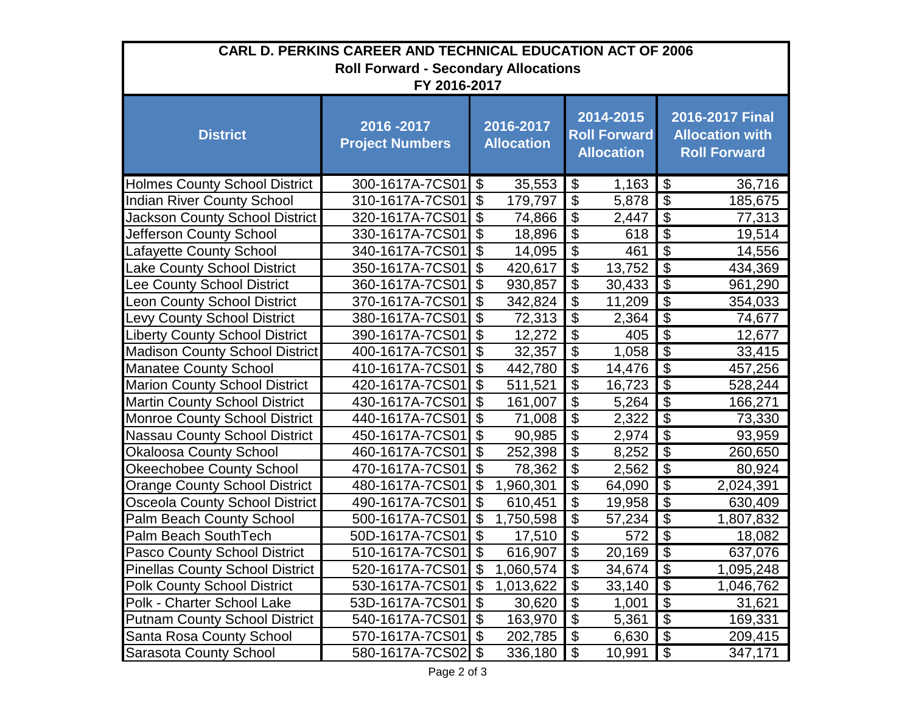| CARL D. PERKINS CAREER AND TECHNICAL EDUCATION ACT OF 2006 |                                     |                            |                                |                                                       |        |                                                                  |           |
|------------------------------------------------------------|-------------------------------------|----------------------------|--------------------------------|-------------------------------------------------------|--------|------------------------------------------------------------------|-----------|
| <b>Roll Forward - Secondary Allocations</b>                |                                     |                            |                                |                                                       |        |                                                                  |           |
| FY 2016-2017                                               |                                     |                            |                                |                                                       |        |                                                                  |           |
| <b>District</b>                                            | 2016-2017<br><b>Project Numbers</b> |                            | 2016-2017<br><b>Allocation</b> | 2014-2015<br><b>Roll Forward</b><br><b>Allocation</b> |        | 2016-2017 Final<br><b>Allocation with</b><br><b>Roll Forward</b> |           |
| <b>Holmes County School District</b>                       | 300-1617A-7CS01                     | $\boldsymbol{\mathsf{S}}$  | 35,553                         | $\boldsymbol{\mathsf{\$}}$                            | 1,163  | <b>1</b> \$                                                      | 36,716    |
| <b>Indian River County School</b>                          | 310-1617A-7CS01                     | \$                         | 179,797                        | $\boldsymbol{\mathsf{S}}$                             | 5,878  | $\overline{\mathbf{3}}$                                          | 185,675   |
| Jackson County School District                             | 320-1617A-7CS01                     | $\boldsymbol{\theta}$      | 74,866                         | $\boldsymbol{\mathsf{S}}$                             | 2,447  | $\overline{\mathbf{3}}$                                          | 77,313    |
| Jefferson County School                                    | 330-1617A-7CS01                     | $\overline{\mathbf{e}}$    | 18,896                         | $\overline{\mathcal{G}}$                              | 618    | $\overline{\mathcal{E}}$                                         | 19,514    |
| Lafayette County School                                    | 340-1617A-7CS01                     | $\boldsymbol{\mathsf{S}}$  | 14,095                         | $\boldsymbol{\mathsf{S}}$                             | 461    | $\overline{\mathcal{S}}$                                         | 14,556    |
| Lake County School District                                | 350-1617A-7CS01                     | $\overline{\mathcal{S}}$   | 420,617                        | $\overline{\mathcal{S}}$                              | 13,752 | $\overline{\$}$                                                  | 434,369   |
| Lee County School District                                 | 360-1617A-7CS01                     | $\boldsymbol{\mathsf{\$}}$ | 930,857                        | $\overline{\mathcal{S}}$                              | 30,433 | $\overline{\$}$                                                  | 961,290   |
| eon County School District                                 | 370-1617A-7CS01                     | $\boldsymbol{\mathsf{S}}$  | 342,824                        | $\boldsymbol{\mathsf{S}}$                             | 11,209 | $\overline{\mathcal{S}}$                                         | 354,033   |
| <b>Levy County School District</b>                         | 380-1617A-7CS01                     | \$                         | 72,313                         | $\overline{\mathcal{S}}$                              | 2,364  | $\overline{\mathcal{L}}$                                         | 74,677    |
| <b>Liberty County School District</b>                      | 390-1617A-7CS01                     | $\boldsymbol{\mathsf{S}}$  | 12,272                         | $\boldsymbol{\mathsf{S}}$                             | 405    | $\overline{\mathbf{3}}$                                          | 12,677    |
| <b>Madison County School District</b>                      | 400-1617A-7CS01                     | $\boldsymbol{\mathsf{\$}}$ | 32,357                         | $\boldsymbol{\theta}$                                 | 1,058  | $\overline{\mathcal{S}}$                                         | 33,415    |
| <b>Manatee County School</b>                               | 410-1617A-7CS01                     | \$                         | 442,780                        | $\boldsymbol{\mathsf{S}}$                             | 14,476 | $\overline{\mathcal{S}}$                                         | 457,256   |
| <b>Marion County School District</b>                       | 420-1617A-7CS01                     | $\overline{\mathcal{S}}$   | 511,521                        | $\overline{\mathcal{S}}$                              | 16,723 | $\overline{\mathcal{S}}$                                         | 528,244   |
| <b>Martin County School District</b>                       | 430-1617A-7CS01                     | $\boldsymbol{\mathsf{S}}$  | 161,007                        | $\boldsymbol{\mathsf{S}}$                             | 5,264  | $\overline{\mathbf{G}}$                                          | 166,271   |
| <b>Monroe County School District</b>                       | 440-1617A-7CS01                     | $\boldsymbol{\mathsf{S}}$  | 71,008                         | $\boldsymbol{\mathsf{S}}$                             | 2,322  | $\overline{\mathcal{S}}$                                         | 73,330    |
| <b>Nassau County School District</b>                       | 450-1617A-7CS01                     | $\overline{\mathbf{e}}$    | 90,985                         | $\overline{\mathbf{3}}$                               | 2,974  | $\overline{\$}$                                                  | 93,959    |
| Okaloosa County School                                     | 460-1617A-7CS01                     | $\boldsymbol{\mathsf{S}}$  | 252,398                        | $\boldsymbol{\mathsf{S}}$                             | 8,252  | $\overline{\mathbf{G}}$                                          | 260,650   |
| <b>Okeechobee County School</b>                            | 470-1617A-7CS01                     | $\boldsymbol{\mathsf{S}}$  | 78,362                         | $\boldsymbol{\theta}$                                 | 2,562  | $\overline{\mathcal{L}}$                                         | 80,924    |
| <b>Orange County School District</b>                       | 480-1617A-7CS01                     | \$                         | 1,960,301                      | $\boldsymbol{\mathsf{S}}$                             | 64,090 | $\overline{\$}$                                                  | 2,024,391 |
| <b>Osceola County School District</b>                      | 490-1617A-7CS01                     | $\boldsymbol{\mathsf{S}}$  | 610,451                        | $\overline{\mathcal{G}}$                              | 19,958 | $\overline{\$}$                                                  | 630,409   |
| <b>Palm Beach County School</b>                            | 500-1617A-7CS01                     | \$                         | 1,750,598                      | $\boldsymbol{\mathsf{S}}$                             | 57,234 | $\overline{\mathcal{L}}$                                         | 1,807,832 |
| Palm Beach SouthTech                                       | 50D-1617A-7CS01                     | $\boldsymbol{\theta}$      | 17,510                         | $\boldsymbol{\mathsf{S}}$                             | 572    | $\overline{\mathbf{3}}$                                          | 18,082    |
| Pasco County School District                               | 510-1617A-7CS01                     | $\mathfrak{S}$             | 616,907                        | $\overline{\mathcal{S}}$                              | 20,169 | $\overline{\mathcal{S}}$                                         | 637,076   |
| <b>Pinellas County School District</b>                     | 520-1617A-7CS01                     | $\boldsymbol{\mathsf{\$}}$ | 1,060,574                      | $\boldsymbol{\mathsf{S}}$                             | 34,674 | \$                                                               | 1,095,248 |
| <b>Polk County School District</b>                         | 530-1617A-7CS01                     | \$                         | 1,013,622                      | $\boldsymbol{\theta}$                                 | 33,140 | $\overline{\mathbf{G}}$                                          | 1,046,762 |
| Polk - Charter School Lake                                 | 53D-1617A-7CS01                     | \$                         | 30,620                         | $\boldsymbol{\mathsf{S}}$                             | 1,001  | $\overline{\mathcal{G}}$                                         | 31,621    |
| <b>Putnam County School District</b>                       | 540-1617A-7CS01                     | $\boldsymbol{\mathsf{S}}$  | 163,970                        | $\boldsymbol{\mathsf{\$}}$                            | 5,361  | $\boldsymbol{\theta}$                                            | 169,331   |
| Santa Rosa County School                                   | 570-1617A-7CS01                     | $\boldsymbol{\mathsf{S}}$  | 202,785                        | $\boldsymbol{\mathsf{\$}}$                            | 6,630  | $\boldsymbol{\theta}$                                            | 209,415   |
| <b>Sarasota County School</b>                              | 580-1617A-7CS02 \$                  |                            | 336,180                        | $\boldsymbol{\mathsf{\$}}$                            | 10,991 | $\boldsymbol{\mathsf{\$}}$                                       | 347,171   |